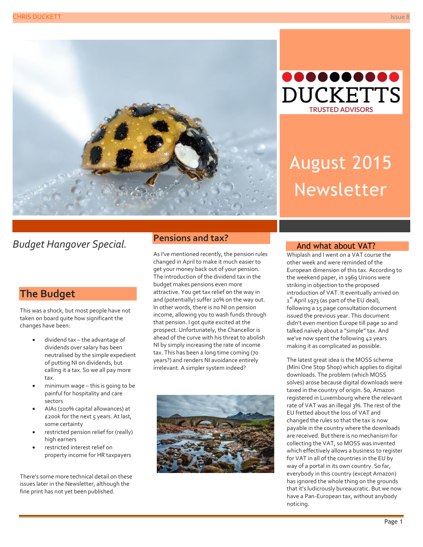



# August 2015 Newsletter

# *Budget Hangover Special.*

# **The Budget**

This was a shock, but most people have not taken on board quite how significant the changes have been:

- dividend tax the advantage of dividends over salary has been neutralised by the simple expedient of putting NI on dividends, but calling it a tax. So we all pay more tax.
- minimum wage this is going to be painful for hospitality and care sectors
- AIAs (100% capital allowances) at £200k for the next 5 years. At last, some certainty
- restricted pension relief for (really) high earners
- restricted interest relief on property income for HR taxpayers

There's some more technical detail on these issues later in the Newsletter, although the fine print has not yet been published.

### **Pensions and tax?**

As I've mentioned recently, the pension rules changed in April to make it much easier to get your money back out of your pension. The introduction of the dividend tax in the budget makes pensions even more attractive. You get tax relief on the way in and (potentially) suffer 20% on the way out. In other words, there is no NI on pension income, allowing you to wash funds through that pension. I got quite excited at the prospect. Unfortunately, the Chancellor is ahead of the curve with his threat to abolish NI by simply increasing the rate of income tax. This has been a long time coming (70 years?) and renders NI avoidance entirely irrelevant. A simpler system indeed?



#### And what about VAT?

Whiplash and I went on a VAT course the other week and were reminded of the European dimension of this tax. According to the weekend paper, in 1969 Unions were striking in objection to the proposed introduction of VAT. It eventually arrived on  $1^\mathrm{st}$  April 1973 (as part of the EU deal), following a 15 page consultation document issued the previous year. This document didn't even mention Europe till page 10 and talked naïvely about a "simple" tax. And we've now spent the following 42 years making it as complicated as possible.

The latest great idea is the MOSS scheme (Mini One Stop Shop) which applies to digital downloads. The problem (which MOSS solves) arose because digital downloads were taxed in the country of origin. So, Amazon registered in Luxembourg where the relevant rate of VAT was an illegal 3%. The rest of the EU fretted about the loss of VAT and changed the rules so that the tax is now payable in the country where the downloads are received. But there is no mechanism for collecting the VAT, so MOSS was invented which effectively allows a business to register for VAT in all of the countries in the EU by way of a portal in its own country. So far, everybody in this country (except Amazon) has ignored the whole thing on the grounds that it's ludicrously bureaucratic. But we now have a Pan-European tax, without anybody noticing.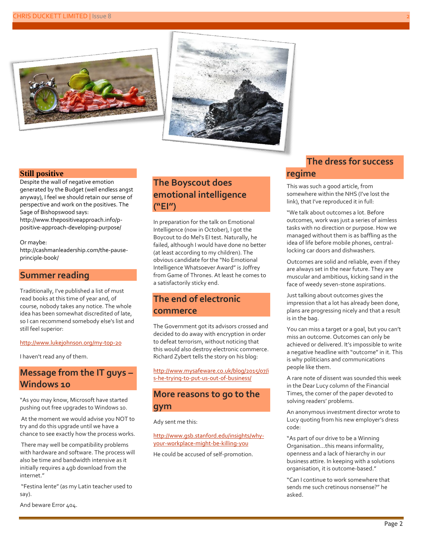



#### **Still positive**

Despite the wall of negative emotion generated by the Budget (well endless angst anyway), I feel we should retain our sense of perspective and work on the positives. The Sage of Bishopswood says:

[http://www.thepositiveapproach.info/p](http://www.thepositiveapproach.info/p-positive-approach-developing-purpose/)[positive-approach-developing-purpose/](http://www.thepositiveapproach.info/p-positive-approach-developing-purpose/)

#### Or maybe:

[http://cashmanleadership.com/the-pause](http://cashmanleadership.com/the-pause-principle-book/)[principle-book/](http://cashmanleadership.com/the-pause-principle-book/)

#### **Summer reading**

Traditionally, I've published a list of must read books at this time of year and, of course, nobody takes any notice. The whole idea has been somewhat discredited of late, so I can recommend somebody else's list and still feel superior:

#### <http://www.lukejohnson.org/my-top-20>

I haven't read any of them.

# **Message from the IT guys – Windows 10**

"As you may know, Microsoft have started pushing out free upgrades to Windows 10.

At the moment we would advise you NOT to try and do this upgrade until we have a chance to see exactly how the process works.

There may well be compatibility problems with hardware and software. The process will also be time and bandwidth intensive as it initially requires a 4gb download from the internet."

"Festina lente" (as my Latin teacher used to say).

# **The Boyscout does emotional intelligence ("EI")**

In preparation for the talk on Emotional Intelligence (now in October), I got the Boycout to do Mel's EI test. Naturally, he failed, although I would have done no better (at least according to my children). The obvious candidate for the "No Emotional Intelligence Whatsoever Award" is Joffrey from Game of Thrones. At least he comes to a satisfactorily sticky end.

# **The end of electronic commerce**

The Government got its advisors crossed and decided to do away with encryption in order to defeat terrorism, without noticing that this would also destroy electronic commerce. Richard Zybert tells the story on his blog:

[http://www.mysafeware.co.uk/blog/2015/07/i](http://www.mysafeware.co.uk/blog/2015/07/is-he-trying-to-put-us-out-of-business/) [s-he-trying-to-put-us-out-of-business/](http://www.mysafeware.co.uk/blog/2015/07/is-he-trying-to-put-us-out-of-business/)

### **More reasons to go to the gym**

Ady sent me this:

[http://www.gsb.stanford.edu/insights/why](http://www.gsb.stanford.edu/insights/why-your-workplace-might-be-killing-you)[your-workplace-might-be-killing-you](http://www.gsb.stanford.edu/insights/why-your-workplace-might-be-killing-you)

He could be accused of self-promotion.

## **The dress for success regime**

This was such a good article, from somewhere within the NHS (I've lost the link), that I've reproduced it in full:

"We talk about outcomes a lot. Before outcomes, work was just a series of aimless tasks with no direction or purpose. How we managed without them is as baffling as the idea of life before mobile phones, centrallocking car doors and dishwashers.

Outcomes are solid and reliable, even if they are always set in the near future. They are muscular and ambitious, kicking sand in the face of weedy seven-stone aspirations.

Just talking about outcomes gives the impression that a lot has already been done, plans are progressing nicely and that a result is in the bag.

You can miss a target or a goal, but you can't miss an outcome. Outcomes can only be achieved or delivered. It's impossible to write a negative headline with "outcome" in it. This is why politicians and communications people like them.

A rare note of dissent was sounded this week in the Dear Lucy column of the Financial Times, the corner of the paper devoted to solving readers' problems.

An anonymous investment director wrote to Lucy quoting from his new employer's dress code:

"As part of our drive to be a Winning Organisation…this means informality, openness and a lack of hierarchy in our business attire. In keeping with a solutions organisation, it is outcome-based."

"Can I continue to work somewhere that sends me such cretinous nonsense?" he asked.

And beware Error 404.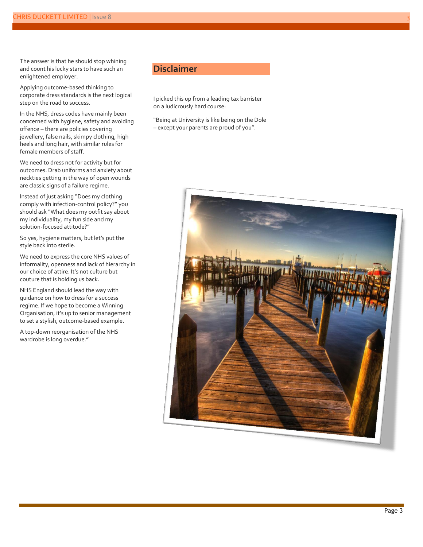The answer is that he should stop whining and count his lucky stars to have such an enlightened employer.

Applying outcome-based thinking to corporate dress standards is the next logical step on the road to success.

In the NHS, dress codes have mainly been concerned with hygiene, safety and avoiding offence – there are policies covering jewellery, false nails, skimpy clothing, high heels and long hair, with similar rules for female members of staff.

We need to dress not for activity but for outcomes. Drab uniforms and anxiety about neckties getting in the way of open wounds are classic signs of a failure regime.

Instead of just asking "Does my clothing comply with infection-control policy?" you should ask "What does my outfit say about my individuality, my fun side and my solution-focused attitude?"

So yes, hygiene matters, but let's put the style back into sterile.

We need to express the core NHS values of informality, openness and lack of hierarchy in our choice of attire. It's not culture but couture that is holding us back.

NHS England should lead the way with guidance on how to dress for a success regime. If we hope to become a Winning Organisation, it's up to senior management to set a stylish, outcome-based example.

A top-down reorganisation of the NHS wardrobe is long overdue."

### **Disclaimer**

I picked this up from a leading tax barrister on a ludicrously hard course:

"Being at University is like being on the Dole – except your parents are proud of you".